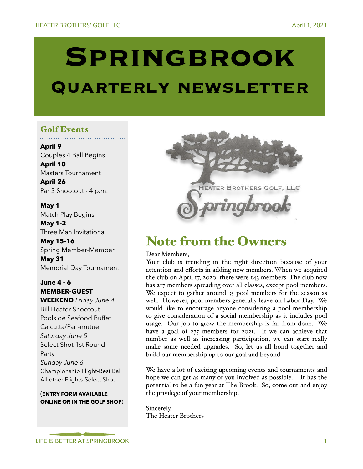# **Springbrook**

# **Quarterly newsletter**

# Golf Events

**April 9**  Couples 4 Ball Begins **April 10**  Masters Tournament

**April 26**  Par 3 Shootout - 4 p.m.

**May 1**  Match Play Begins

**May 1-2**  Three Man Invitational

**May 15-16**  Spring Member-Member **May 31**  Memorial Day Tournament

## **June 4 - 6 MEMBER-GUEST WEEKEND** *Friday June 4*

Bill Heater Shootout Poolside Seafood Buffet Calcutta/Pari-mutuel *Saturday June 5* Select Shot 1st Round Party *Sunday June 6* Championship Flight-Best Ball All other Flights-Select Shot

(**ENTRY FORM AVAILABLE ONLINE OR IN THE GOLF SHOP**)



# Note from the Owners

Dear Members,

Your club is trending in the right direction because of your attention and efforts in adding new members. When we acquired the club on April 17, 2020, there were 143 members. The club now has 217 members spreading over all classes, except pool members. We expect to gather around 35 pool members for the season as well. However, pool members generally leave on Labor Day. We would like to encourage anyone considering a pool membership to give consideration of a social membership as it includes pool usage. Our job to grow the membership is far from done. We have a goal of 275 members for 2021. If we can achieve that number as well as increasing participation, we can start really make some needed upgrades. So, let us all bond together and build our membership up to our goal and beyond.

We have a lot of exciting upcoming events and tournaments and hope we can get as many of you involved as possible. It has the potential to be a fun year at The Brook. So, come out and enjoy the privilege of your membership.

Sincerely, The Heater Brothers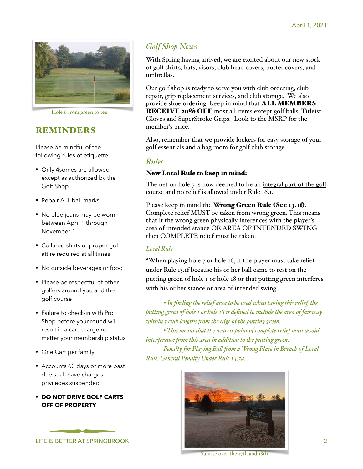

Hole 6 from green to tee.

# REMINDERS

Please be mindful of the following rules of etiquette:

- Only 4somes are allowed except as authorized by the Golf Shop.
- Repair ALL ball marks
- No blue jeans may be worn between April 1 through November 1
- Collared shirts or proper golf attire required at all times
- No outside beverages or food
- Please be respectful of other golfers around you and the golf course
- Failure to check-in with Pro Shop before your round will result in a cart charge no matter your membership status
- One Cart per family
- Accounts 60 days or more past due shall have charges privileges suspended
- **• DO NOT DRIVE GOLF CARTS OFF OF PROPERTY**



# *Golf Shop News*

With Spring having arrived, we are excited about our new stock of golf shirts, hats, visors, club head covers, putter covers, and umbrellas.

Our golf shop is ready to serve you with club ordering, club repair, grip replacement services, and club storage. We also provide shoe ordering. Keep in mind that ALL MEMBERS RECEIVE 20% OFF most all items except golf balls, Titleist Gloves and SuperStroke Grips. Look to the MSRP for the member's price.

Also, remember that we provide lockers for easy storage of your golf essentials and a bag room for golf club storage.

## *Rules*

#### New Local Rule to keep in mind:

The net on hole 7 is now deemed to be an integral part of the golf course and no relief is allowed under Rule 16.1.

Please keep in mind the Wrong Green Rule (See 13.1f). Complete relief MUST be taken from wrong green. This means that if the wrong green physically inferences with the player's area of intended stance OR AREA OF INTENDED SWING then COMPLETE relief must be taken.

#### *Local Rule*

"When playing hole 7 or hole 16, if the player must take relief under Rule 13.1f because his or her ball came to rest on the putting green of hole 1 or hole 18 or that putting green interferes with his or her stance or area of intended swing:

*• In finding the relief area to be used when taking this relief, the putting green of hole 1 or hole 18 is defined to include the area of fairway within 5 club lengths from the edge of the putting green.* 

*• This means that the nearest point of complete relief must avoid interference from this area in addition to the putting green.* 

*Penalty for Playing Ball from a Wrong Place in Breach of Local Rule: General Penalty Under Rule 14.7a.*



Sunrise over the 17th and 18th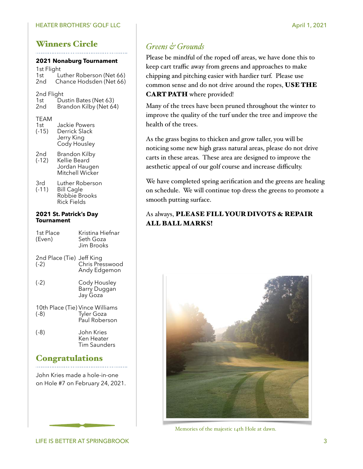#### HEATER BROTHERS' GOLF LLC April 1, 2021

# Winners Circle

#### **2021 Nonaburg Tournament**

1st Flight<br>1st<br>1 1st Luther Roberson (Net 66)<br>2nd Chance Hodsden (Net 66) Chance Hodsden (Net 66)

# 2nd Flight<br>1st Du

- 1st Dustin Bates (Net 63)<br>2nd Brandon Kilby (Net 64
- Brandon Kilby (Net 64)

#### TEAM

| 1st     | Jackie Powers |
|---------|---------------|
| $(-15)$ | Derrick Slack |
|         | Jerry King    |
|         | Cody Housley  |

- 2nd Brandon Kilby<br>(-12) Kellie Beard Kellie Beard Jordan Haugen Mitchell Wicker
- 3rd Luther Roberson<br>(-11) Bill Cagle Bill Cagle Robbie Brooks Rick Fields

#### **2021 St. Patrick's Day Tournament**

| 1st Place<br>(Even)                     | Kristina Hiefnar<br>Seth Goza<br>Jim Brooks. |
|-----------------------------------------|----------------------------------------------|
| 2nd Place (Tie)<br>(-2)                 | Jeff King<br>Chris Presswood<br>Andy Edgemon |
| $(-2)$                                  | Cody Housley<br>Barry Duggan<br>Jay Goza     |
| 10th Place (Tie) Vince Williams<br>(-8) | <b>Tyler Goza</b><br>Paul Roberson           |
| $(-8)$                                  | John Kries<br>Ken Heater<br>Tim Saunders     |

## **Congratulations**

John Kries made a hole-in-one on Hole #7 on February 24, 2021.

# *Greens & Grounds*

Please be mindful of the roped off areas, we have done this to keep cart traffic away from greens and approaches to make chipping and pitching easier with hardier turf. Please use common sense and do not drive around the ropes, USE THE CART PATH where provided!

Many of the trees have been pruned throughout the winter to improve the quality of the turf under the tree and improve the health of the trees.

As the grass begins to thicken and grow taller, you will be noticing some new high grass natural areas, please do not drive carts in these areas. These area are designed to improve the aesthetic appeal of our golf course and increase difficulty.

We have completed spring aerification and the greens are healing on schedule. We will continue top dress the greens to promote a smooth putting surface.

## As always, PLEASE FILL YOUR DIVOTS & REPAIR ALL BALL MARKS!



Memories of the majestic 14th Hole at dawn.